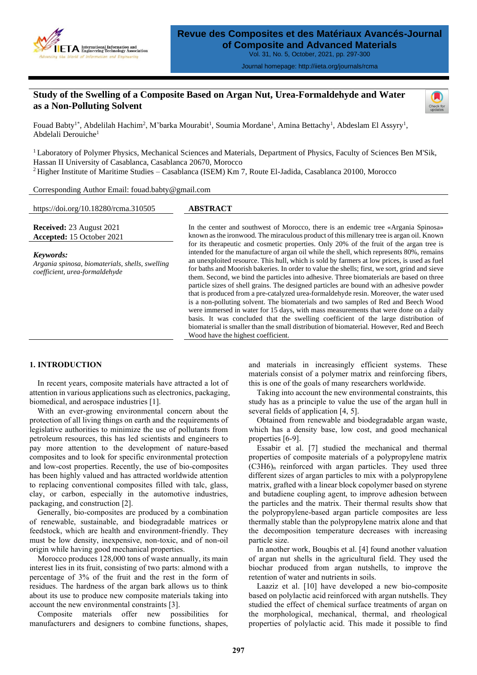

Journal homepage: http://iieta.org/journals/rcma

# **Study of the Swelling of a Composite Based on Argan Nut, Urea-Formaldehyde and Water as a Non-Polluting Solvent**



Fouad Babty<sup>1\*</sup>, Abdelilah Hachim<sup>2</sup>, M'barka Mourabit<sup>1</sup>, Soumia Mordane<sup>1</sup>, Amina Bettachy<sup>1</sup>, Abdeslam El Assyry<sup>1</sup>, Abdelali Derouiche<sup>1</sup>

<sup>1</sup>Laboratory of Polymer Physics, Mechanical Sciences and Materials, Department of Physics, Faculty of Sciences Ben M'Sik, Hassan II University of Casablanca, Casablanca 20670, Morocco <sup>2</sup>Higher Institute of Maritime Studies – Casablanca (ISEM) Km 7, Route El-Jadida, Casablanca 20100, Morocco

Corresponding Author Email: fouad.babty@gmail.com

https://doi.org/10.18280/rcma.310505 **ABSTRACT Received:** 23 August 2021 **Accepted:** 15 October 2021 In the center and southwest of Morocco, there is an endemic tree «Argania Spinosa» known as the ironwood. The miraculous product of this millenary tree is argan oil. Known for its therapeutic and cosmetic properties. Only 20% of the fruit of the argan tree is intended for the manufacture of argan oil while the shell, which represents 80%, remains an unexploited resource. This hull, which is sold by farmers at low prices, is used as fuel for baths and Moorish bakeries. In order to value the shells; first, we sort, grind and sieve them. Second, we bind the particles into adhesive. Three biomaterials are based on three particle sizes of shell grains. The designed particles are bound with an adhesive powder that is produced from a pre-catalyzed urea-formaldehyde resin. Moreover, the water used is a non-polluting solvent. The biomaterials and two samples of Red and Beech Wood were immersed in water for 15 days, with mass measurements that were done on a daily basis. It was concluded that the swelling coefficient of the large distribution of biomaterial is smaller than the small distribution of biomaterial. However, Red and Beech Wood have the highest coefficient. *Keywords: Argania spinosa, biomaterials, shells, swelling coefficient, urea-formaldehyde*

## **1. INTRODUCTION**

In recent years, composite materials have attracted a lot of attention in various applications such as electronics, packaging, biomedical, and aerospace industries [1].

With an ever-growing environmental concern about the protection of all living things on earth and the requirements of legislative authorities to minimize the use of pollutants from petroleum resources, this has led scientists and engineers to pay more attention to the development of nature-based composites and to look for specific environmental protection and low-cost properties. Recently, the use of bio-composites has been highly valued and has attracted worldwide attention to replacing conventional composites filled with talc, glass, clay, or carbon, especially in the automotive industries, packaging, and construction [2].

Generally, bio-composites are produced by a combination of renewable, sustainable, and biodegradable matrices or feedstock, which are health and environment-friendly. They must be low density, inexpensive, non-toxic, and of non-oil origin while having good mechanical properties.

Morocco produces 128,000 tons of waste annually, its main interest lies in its fruit, consisting of two parts: almond with a percentage of 3% of the fruit and the rest in the form of residues. The hardness of the argan bark allows us to think about its use to produce new composite materials taking into account the new environmental constraints [3].

Composite materials offer new possibilities for manufacturers and designers to combine functions, shapes, and materials in increasingly efficient systems. These materials consist of a polymer matrix and reinforcing fibers, this is one of the goals of many researchers worldwide.

Taking into account the new environmental constraints, this study has as a principle to value the use of the argan hull in several fields of application [4, 5].

Obtained from renewable and biodegradable argan waste, which has a density base, low cost, and good mechanical properties [6-9].

Essabir et al. [7] studied the mechanical and thermal properties of composite materials of a polypropylene matrix  $(C3H6)$ <sub>n</sub> reinforced with argan particles. They used three different sizes of argan particles to mix with a polypropylene matrix, grafted with a linear block copolymer based on styrene and butadiene coupling agent, to improve adhesion between the particles and the matrix. Their thermal results show that the polypropylene-based argan particle composites are less thermally stable than the polypropylene matrix alone and that the decomposition temperature decreases with increasing particle size.

In another work, Bouqbis et al. [4] found another valuation of argan nut shells in the agricultural field. They used the biochar produced from argan nutshells, to improve the retention of water and nutrients in soils.

Laaziz et al. [10] have developed a new bio-composite based on polylactic acid reinforced with argan nutshells. They studied the effect of chemical surface treatments of argan on the morphological, mechanical, thermal, and rheological properties of polylactic acid. This made it possible to find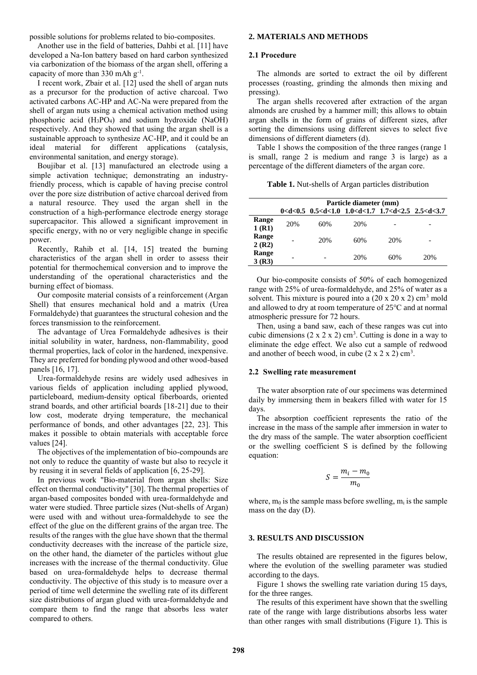possible solutions for problems related to bio-composites.

Another use in the field of batteries, Dahbi et al. [11] have developed a Na-Ion battery based on hard carbon synthesized via carbonization of the biomass of the argan shell, offering a capacity of more than  $330$  mAh  $g^{-1}$ .

I recent work, Zbair et al. [12] used the shell of argan nuts as a precursor for the production of active charcoal. Two activated carbons AC-HP and AC-Na were prepared from the shell of argan nuts using a chemical activation method using phosphoric acid (H3PO4) and sodium hydroxide (NaOH) respectively. And they showed that using the argan shell is a sustainable approach to synthesize AC-HP, and it could be an ideal material for different applications (catalysis, environmental sanitation, and energy storage).

Boujibar et al. [13] manufactured an electrode using a simple activation technique; demonstrating an industryfriendly process, which is capable of having precise control over the pore size distribution of active charcoal derived from a natural resource. They used the argan shell in the construction of a high-performance electrode energy storage supercapacitor. This allowed a significant improvement in specific energy, with no or very negligible change in specific power.

Recently, Rahib et al. [14, 15] treated the burning characteristics of the argan shell in order to assess their potential for thermochemical conversion and to improve the understanding of the operational characteristics and the burning effect of biomass.

Our composite material consists of a reinforcement (Argan Shell) that ensures mechanical hold and a matrix (Urea Formaldehyde) that guarantees the structural cohesion and the forces transmission to the reinforcement.

The advantage of Urea Formaldehyde adhesives is their initial solubility in water, hardness, non-flammability, good thermal properties, lack of color in the hardened, inexpensive. They are preferred for bonding plywood and other wood-based panels [16, 17].

Urea-formaldehyde resins are widely used adhesives in various fields of application including applied plywood, particleboard, medium-density optical fiberboards, oriented strand boards, and other artificial boards [18-21] due to their low cost, moderate drying temperature, the mechanical performance of bonds, and other advantages [22, 23]. This makes it possible to obtain materials with acceptable force values [24].

The objectives of the implementation of bio-compounds are not only to reduce the quantity of waste but also to recycle it by reusing it in several fields of application [6, 25-29].

In previous work "Bio-material from argan shells: Size effect on thermal conductivity" [30]. The thermal properties of argan-based composites bonded with urea-formaldehyde and water were studied. Three particle sizes (Nut-shells of Argan) were used with and without urea-formaldehyde to see the effect of the glue on the different grains of the argan tree. The results of the ranges with the glue have shown that the thermal conductivity decreases with the increase of the particle size, on the other hand, the diameter of the particles without glue increases with the increase of the thermal conductivity. Glue based on urea-formaldehyde helps to decrease thermal conductivity. The objective of this study is to measure over a period of time well determine the swelling rate of its different size distributions of argan glued with urea-formaldehyde and compare them to find the range that absorbs less water compared to others.

#### **2. MATERIALS AND METHODS**

#### **2.1 Procedure**

The almonds are sorted to extract the oil by different processes (roasting, grinding the almonds then mixing and pressing).

The argan shells recovered after extraction of the argan almonds are crushed by a hammer mill; this allows to obtain argan shells in the form of grains of different sizes, after sorting the dimensions using different sieves to select five dimensions of different diameters (d).

Table 1 shows the composition of the three ranges (range 1 is small, range 2 is medium and range 3 is large) as a percentage of the different diameters of the argan core.

**Table 1.** Nut-shells of Argan particles distribution

|                | Particle diameter (mm) |     |                                                                                                |     |     |
|----------------|------------------------|-----|------------------------------------------------------------------------------------------------|-----|-----|
|                |                        |     | 0 <d<0.5 0.5<d<1.0="" 1.0<d<1.7="" 1.7<d<2.5="" 2.5<d<3.7<="" th=""><th></th><th></th></d<0.5> |     |     |
| Range<br>1(R1) | 20%                    | 60% | 20%                                                                                            |     |     |
| Range<br>2(R2) |                        | 20% | 60%                                                                                            | 20% |     |
| Range<br>3(R3) |                        |     | 20%                                                                                            | 60% | 20% |

Our bio-composite consists of 50% of each homogenized range with 25% of urea-formaldehyde, and 25% of water as a solvent. This mixture is poured into a  $(20 \times 20 \times 2)$  cm<sup>3</sup> mold and allowed to dry at room temperature of 25℃ and at normal atmospheric pressure for 72 hours.

Then, using a band saw, each of these ranges was cut into cubic dimensions  $(2 \times 2 \times 2)$  cm<sup>3</sup>. Cutting is done in a way to eliminate the edge effect. We also cut a sample of redwood and another of beech wood, in cube  $(2 \times 2 \times 2)$  cm<sup>3</sup>.

#### **2.2 Swelling rate measurement**

The water absorption rate of our specimens was determined daily by immersing them in beakers filled with water for 15 days.

The absorption coefficient represents the ratio of the increase in the mass of the sample after immersion in water to the dry mass of the sample. The water absorption coefficient or the swelling coefficient S is defined by the following equation:

$$
S = \frac{m_i - m_0}{m_0}
$$

where,  $m_0$  is the sample mass before swelling,  $m_i$  is the sample mass on the day (D).

### **3. RESULTS AND DISCUSSION**

The results obtained are represented in the figures below, where the evolution of the swelling parameter was studied according to the days.

Figure 1 shows the swelling rate variation during 15 days, for the three ranges.

The results of this experiment have shown that the swelling rate of the range with large distributions absorbs less water than other ranges with small distributions (Figure 1). This is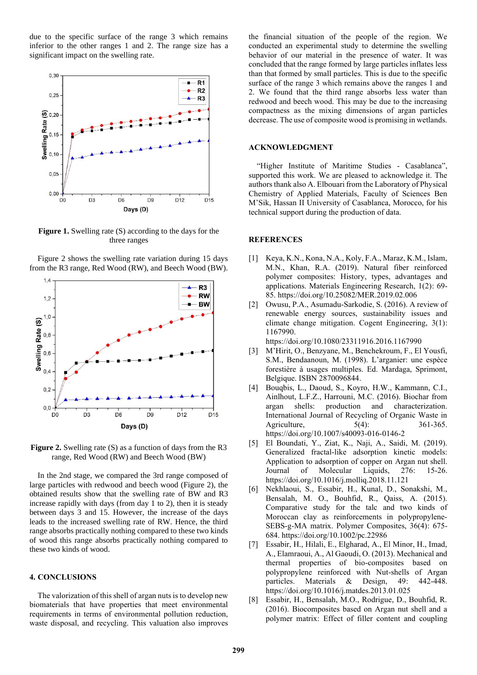due to the specific surface of the range 3 which remains inferior to the other ranges 1 and 2. The range size has a significant impact on the swelling rate.



**Figure 1.** Swelling rate (S) according to the days for the three ranges

Figure 2 shows the swelling rate variation during 15 days from the R3 range, Red Wood (RW), and Beech Wood (BW).



**Figure 2.** Swelling rate (S) as a function of days from the R3 range, Red Wood (RW) and Beech Wood (BW)

In the 2nd stage, we compared the 3rd range composed of large particles with redwood and beech wood (Figure 2), the obtained results show that the swelling rate of BW and R3 increase rapidly with days (from day 1 to 2), then it is steady between days 3 and 15. However, the increase of the days leads to the increased swelling rate of RW. Hence, the third range absorbs practically nothing compared to these two kinds of wood this range absorbs practically nothing compared to these two kinds of wood.

# **4. CONCLUSIONS**

The valorization of this shell of argan nuts is to develop new biomaterials that have properties that meet environmental requirements in terms of environmental pollution reduction, waste disposal, and recycling. This valuation also improves the financial situation of the people of the region. We conducted an experimental study to determine the swelling behavior of our material in the presence of water. It was concluded that the range formed by large particles inflates less than that formed by small particles. This is due to the specific surface of the range 3 which remains above the ranges 1 and 2. We found that the third range absorbs less water than redwood and beech wood. This may be due to the increasing compactness as the mixing dimensions of argan particles decrease. The use of composite wood is promising in wetlands.

#### **ACKNOWLEDGMENT**

"Higher Institute of Maritime Studies - Casablanca", supported this work. We are pleased to acknowledge it. The authors thank also A. Elbouari from the Laboratory of Physical Chemistry of Applied Materials, Faculty of Sciences Ben M'Sik, Hassan II University of Casablanca, Morocco, for his technical support during the production of data.

### **REFERENCES**

- [1] Keya, K.N., Kona, N.A., Koly, F.A., Maraz, K.M., Islam, M.N., Khan, R.A. (2019). Natural fiber reinforced polymer composites: History, types, advantages and applications. Materials Engineering Research, 1(2): 69- 85. https://doi.org/10.25082/MER.2019.02.006
- [2] Owusu, P.A., Asumadu-Sarkodie, S. (2016). A review of renewable energy sources, sustainability issues and climate change mitigation. Cogent Engineering, 3(1): 1167990.

https://doi.org/10.1080/23311916.2016.1167990

- [3] M'Hirit, O., Benzyane, M., Benchekroum, F., El Yousfi, S.M., Bendaanoun, M. (1998). L'arganier: une espèce forestière à usages multiples. Ed. Mardaga, Sprimont, Belgique. ISBN 2870096844.
- [4] Bouqbis, L., Daoud, S., Koyro, H.W., Kammann, C.I., Ainlhout, L.F.Z., Harrouni, M.C. (2016). Biochar from argan shells: production and characterization. International Journal of Recycling of Organic Waste in Agriculture, 5(4): 361-365. https://doi.org/10.1007/s40093-016-0146-2
- [5] El Boundati, Y., Ziat, K., Naji, A., Saidi, M. (2019). Generalized fractal-like adsorption kinetic models: Application to adsorption of copper on Argan nut shell. Journal of Molecular Liquids, 276: 15-26. https://doi.org/10.1016/j.molliq.2018.11.121
- [6] Nekhlaoui, S., Essabir, H., Kunal, D., Sonakshi, M., Bensalah, M. O., Bouhfid, R., Qaiss, A. (2015). Comparative study for the talc and two kinds of Moroccan clay as reinforcements in polypropylene‐ SEBS‐g‐MA matrix. Polymer Composites, 36(4): 675- 684. https://doi.org/10.1002/pc.22986
- [7] Essabir, H., Hilali, E., Elgharad, A., El Minor, H., Imad, A., Elamraoui, A., Al Gaoudi, O. (2013). Mechanical and thermal properties of bio-composites based on polypropylene reinforced with Nut-shells of Argan particles. Materials & Design, 49: 442-448. https://doi.org/10.1016/j.matdes.2013.01.025
- [8] Essabir, H., Bensalah, M.O., Rodrigue, D., Bouhfid, R. (2016). Biocomposites based on Argan nut shell and a polymer matrix: Effect of filler content and coupling